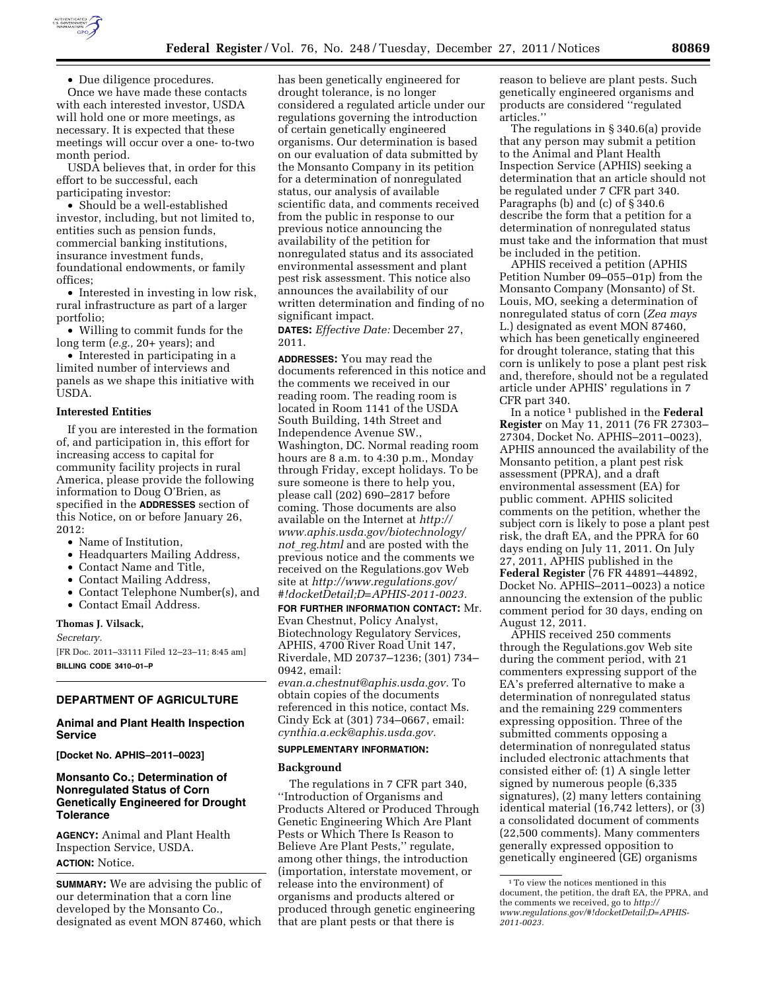

• Due diligence procedures.

Once we have made these contacts with each interested investor, USDA will hold one or more meetings, as necessary. It is expected that these meetings will occur over a one- to-two month period.

USDA believes that, in order for this effort to be successful, each participating investor:

• Should be a well-established investor, including, but not limited to, entities such as pension funds, commercial banking institutions, insurance investment funds, foundational endowments, or family offices;

• Interested in investing in low risk, rural infrastructure as part of a larger portfolio;

• Willing to commit funds for the long term (*e.g.,* 20+ years); and

• Interested in participating in a limited number of interviews and panels as we shape this initiative with USDA.

#### **Interested Entities**

If you are interested in the formation of, and participation in, this effort for increasing access to capital for community facility projects in rural America, please provide the following information to Doug O'Brien, as specified in the **ADDRESSES** section of this Notice, on or before January 26, 2012:

- Name of Institution,
- Headquarters Mailing Address,
- Contact Name and Title,
- Contact Mailing Address,
- Contact Telephone Number(s), and
- Contact Email Address.

### **Thomas J. Vilsack,**

*Secretary.* 

[FR Doc. 2011–33111 Filed 12–23–11; 8:45 am] **BILLING CODE 3410–01–P** 

# **DEPARTMENT OF AGRICULTURE**

### **Animal and Plant Health Inspection Service**

**[Docket No. APHIS–2011–0023]** 

## **Monsanto Co.; Determination of Nonregulated Status of Corn Genetically Engineered for Drought Tolerance**

**AGENCY:** Animal and Plant Health Inspection Service, USDA. **ACTION:** Notice.

**SUMMARY:** We are advising the public of our determination that a corn line developed by the Monsanto Co., designated as event MON 87460, which

has been genetically engineered for drought tolerance, is no longer considered a regulated article under our regulations governing the introduction of certain genetically engineered organisms. Our determination is based on our evaluation of data submitted by the Monsanto Company in its petition for a determination of nonregulated status, our analysis of available scientific data, and comments received from the public in response to our previous notice announcing the availability of the petition for nonregulated status and its associated environmental assessment and plant pest risk assessment. This notice also announces the availability of our written determination and finding of no significant impact.

**DATES:** *Effective Date:* December 27, 2011.

**ADDRESSES:** You may read the documents referenced in this notice and the comments we received in our reading room. The reading room is located in Room 1141 of the USDA South Building, 14th Street and Independence Avenue SW., Washington, DC. Normal reading room hours are 8 a.m. to 4:30 p.m., Monday through Friday, except holidays. To be sure someone is there to help you, please call (202) 690–2817 before coming. Those documents are also available on the Internet at *[http://](http://www.aphis.usda.gov/biotechnology/not_reg.html) [www.aphis.usda.gov/biotechnology/](http://www.aphis.usda.gov/biotechnology/not_reg.html)  not*\_*[reg.html](http://www.aphis.usda.gov/biotechnology/not_reg.html)* and are posted with the previous notice and the comments we received on the Regulations.gov Web site at *[http://www.regulations.gov/](http://www.regulations.gov/#!docketDetail;D=APHIS-2011-0023)  [#!docketDetail;D=APHIS-2011-0023.](http://www.regulations.gov/#!docketDetail;D=APHIS-2011-0023)* 

**FOR FURTHER INFORMATION CONTACT:** Mr. Evan Chestnut, Policy Analyst, Biotechnology Regulatory Services, APHIS, 4700 River Road Unit 147, Riverdale, MD 20737–1236; (301) 734– 0942, email:

*[evan.a.chestnut@aphis.usda.gov.](mailto:evan.a.chestnut@aphis.usda.gov)* To obtain copies of the documents referenced in this notice, contact Ms. Cindy Eck at (301) 734–0667, email: *[cynthia.a.eck@aphis.usda.gov.](mailto:cynthia.a.eck@aphis.usda.gov)* 

### **SUPPLEMENTARY INFORMATION:**

#### **Background**

The regulations in 7 CFR part 340, ''Introduction of Organisms and Products Altered or Produced Through Genetic Engineering Which Are Plant Pests or Which There Is Reason to Believe Are Plant Pests,'' regulate, among other things, the introduction (importation, interstate movement, or release into the environment) of organisms and products altered or produced through genetic engineering that are plant pests or that there is

reason to believe are plant pests. Such genetically engineered organisms and products are considered ''regulated articles.''

The regulations in § 340.6(a) provide that any person may submit a petition to the Animal and Plant Health Inspection Service (APHIS) seeking a determination that an article should not be regulated under 7 CFR part 340. Paragraphs (b) and (c) of § 340.6 describe the form that a petition for a determination of nonregulated status must take and the information that must be included in the petition.

APHIS received a petition (APHIS Petition Number 09–055–01p) from the Monsanto Company (Monsanto) of St. Louis, MO, seeking a determination of nonregulated status of corn (*Zea mays*  L.) designated as event MON 87460, which has been genetically engineered for drought tolerance, stating that this corn is unlikely to pose a plant pest risk and, therefore, should not be a regulated article under APHIS' regulations in 7 CFR part 340.

In a notice 1 published in the **Federal Register** on May 11, 2011 (76 FR 27303– 27304, Docket No. APHIS–2011–0023), APHIS announced the availability of the Monsanto petition, a plant pest risk assessment (PPRA), and a draft environmental assessment (EA) for public comment. APHIS solicited comments on the petition, whether the subject corn is likely to pose a plant pest risk, the draft EA, and the PPRA for 60 days ending on July 11, 2011. On July 27, 2011, APHIS published in the **Federal Register** (76 FR 44891–44892, Docket No. APHIS–2011–0023) a notice announcing the extension of the public comment period for 30 days, ending on August 12, 2011.

APHIS received 250 comments through the Regulations.gov Web site during the comment period, with 21 commenters expressing support of the EA's preferred alternative to make a determination of nonregulated status and the remaining 229 commenters expressing opposition. Three of the submitted comments opposing a determination of nonregulated status included electronic attachments that consisted either of: (1) A single letter signed by numerous people (6,335 signatures), (2) many letters containing identical material (16,742 letters), or (3) a consolidated document of comments (22,500 comments). Many commenters generally expressed opposition to genetically engineered (GE) organisms

<sup>1</sup>To view the notices mentioned in this document, the petition, the draft EA, the PPRA, and the comments we received, go to *[http://](http://www.regulations.gov/#!docketDetail;D=APHIS-2011-0023) [www.regulations.gov/#!docketDetail;D=APHIS-](http://www.regulations.gov/#!docketDetail;D=APHIS-2011-0023)[2011-0023.](http://www.regulations.gov/#!docketDetail;D=APHIS-2011-0023)*